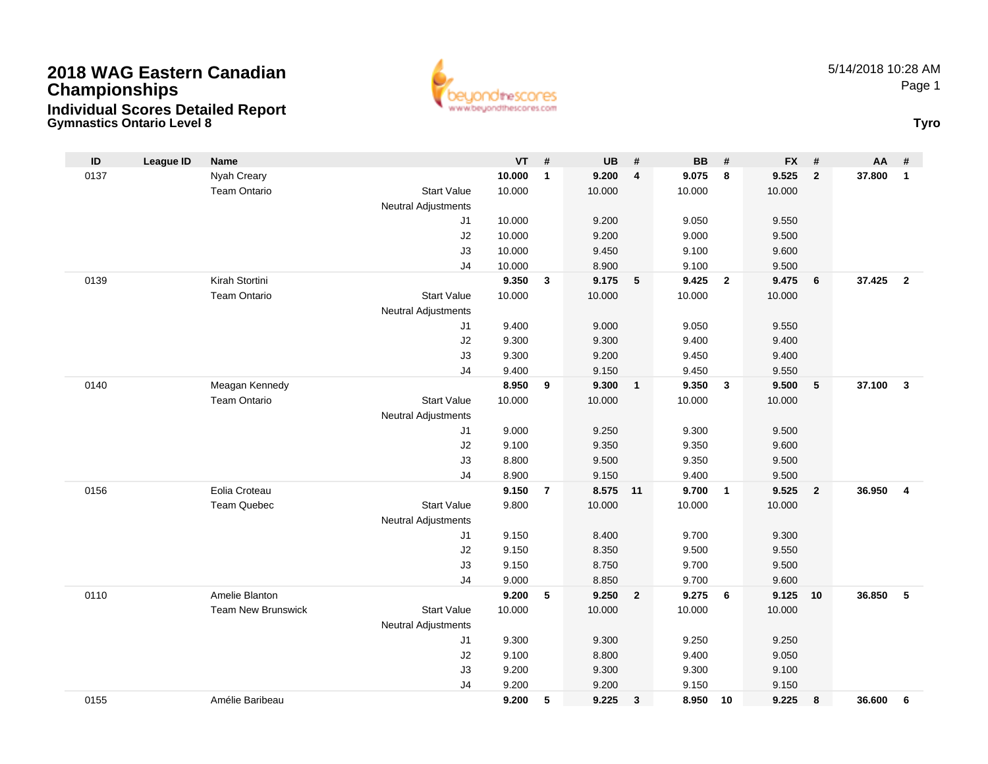



| ID   | <b>League ID</b> | <b>Name</b>               |                     | $VT$ # |                | <b>UB</b> | #                       | <b>BB</b> | #               | <b>FX</b> | #              | AA     | #                       |
|------|------------------|---------------------------|---------------------|--------|----------------|-----------|-------------------------|-----------|-----------------|-----------|----------------|--------|-------------------------|
| 0137 |                  | Nyah Creary               |                     | 10.000 | $\mathbf{1}$   | 9.200     | $\overline{\mathbf{4}}$ | 9.075     | 8               | 9.525     | $\overline{2}$ | 37.800 | $\mathbf{1}$            |
|      |                  | <b>Team Ontario</b>       | <b>Start Value</b>  | 10.000 |                | 10.000    |                         | 10.000    |                 | 10.000    |                |        |                         |
|      |                  |                           | Neutral Adjustments |        |                |           |                         |           |                 |           |                |        |                         |
|      |                  |                           | J1                  | 10.000 |                | 9.200     |                         | 9.050     |                 | 9.550     |                |        |                         |
|      |                  |                           | J2                  | 10.000 |                | 9.200     |                         | 9.000     |                 | 9.500     |                |        |                         |
|      |                  |                           | J3                  | 10.000 |                | 9.450     |                         | 9.100     |                 | 9.600     |                |        |                         |
|      |                  |                           | J4                  | 10.000 |                | 8.900     |                         | 9.100     |                 | 9.500     |                |        |                         |
| 0139 |                  | Kirah Stortini            |                     | 9.350  | $\mathbf{3}$   | 9.175     | 5                       | 9.425     | $\overline{2}$  | 9.475     | 6              | 37.425 | $\overline{2}$          |
|      |                  | <b>Team Ontario</b>       | <b>Start Value</b>  | 10.000 |                | 10.000    |                         | 10.000    |                 | 10.000    |                |        |                         |
|      |                  |                           | Neutral Adjustments |        |                |           |                         |           |                 |           |                |        |                         |
|      |                  |                           | J1                  | 9.400  |                | 9.000     |                         | 9.050     |                 | 9.550     |                |        |                         |
|      |                  |                           | J2                  | 9.300  |                | 9.300     |                         | 9.400     |                 | 9.400     |                |        |                         |
|      |                  |                           | J3                  | 9.300  |                | 9.200     |                         | 9.450     |                 | 9.400     |                |        |                         |
|      |                  |                           | J4                  | 9.400  |                | 9.150     |                         | 9.450     |                 | 9.550     |                |        |                         |
| 0140 |                  | Meagan Kennedy            |                     | 8.950  | 9              | 9.300     | $\mathbf{1}$            | 9.350     | $\mathbf{3}$    | 9.500     | 5              | 37.100 | $\mathbf{3}$            |
|      |                  | <b>Team Ontario</b>       | <b>Start Value</b>  | 10.000 |                | 10.000    |                         | 10.000    |                 | 10.000    |                |        |                         |
|      |                  |                           | Neutral Adjustments |        |                |           |                         |           |                 |           |                |        |                         |
|      |                  |                           | J1                  | 9.000  |                | 9.250     |                         | 9.300     |                 | 9.500     |                |        |                         |
|      |                  |                           | J2                  | 9.100  |                | 9.350     |                         | 9.350     |                 | 9.600     |                |        |                         |
|      |                  |                           | J3                  | 8.800  |                | 9.500     |                         | 9.350     |                 | 9.500     |                |        |                         |
|      |                  |                           | J <sub>4</sub>      | 8.900  |                | 9.150     |                         | 9.400     |                 | 9.500     |                |        |                         |
| 0156 |                  | Eolia Croteau             |                     | 9.150  | $\overline{7}$ | 8.575 11  |                         | 9.700     | $\overline{1}$  | 9.525     | $\overline{2}$ | 36.950 | $\overline{\mathbf{4}}$ |
|      |                  | <b>Team Quebec</b>        | <b>Start Value</b>  | 9.800  |                | 10.000    |                         | 10.000    |                 | 10.000    |                |        |                         |
|      |                  |                           | Neutral Adjustments |        |                |           |                         |           |                 |           |                |        |                         |
|      |                  |                           | J <sub>1</sub>      | 9.150  |                | 8.400     |                         | 9.700     |                 | 9.300     |                |        |                         |
|      |                  |                           | J2                  | 9.150  |                | 8.350     |                         | 9.500     |                 | 9.550     |                |        |                         |
|      |                  |                           | J3                  | 9.150  |                | 8.750     |                         | 9.700     |                 | 9.500     |                |        |                         |
|      |                  |                           | J <sub>4</sub>      | 9.000  |                | 8.850     |                         | 9.700     |                 | 9.600     |                |        |                         |
| 0110 |                  | Amelie Blanton            |                     | 9.200  | 5              | 9.250     | $\overline{2}$          | 9.275     | $6\phantom{1}6$ | 9.125     | 10             | 36.850 | 5                       |
|      |                  | <b>Team New Brunswick</b> | <b>Start Value</b>  | 10.000 |                | 10.000    |                         | 10.000    |                 | 10.000    |                |        |                         |
|      |                  |                           | Neutral Adjustments |        |                |           |                         |           |                 |           |                |        |                         |
|      |                  |                           | J <sub>1</sub>      | 9.300  |                | 9.300     |                         | 9.250     |                 | 9.250     |                |        |                         |
|      |                  |                           | J2                  | 9.100  |                | 8.800     |                         | 9.400     |                 | 9.050     |                |        |                         |
|      |                  |                           | J3                  | 9.200  |                | 9.300     |                         | 9.300     |                 | 9.100     |                |        |                         |
|      |                  |                           | J <sub>4</sub>      | 9.200  |                | 9.200     |                         | 9.150     |                 | 9.150     |                |        |                         |
| 0155 |                  | Amélie Baribeau           |                     | 9.200  | 5              | 9.225     | $\mathbf{3}$            | 8.950     | 10              | 9.225     | 8              | 36.600 | 6                       |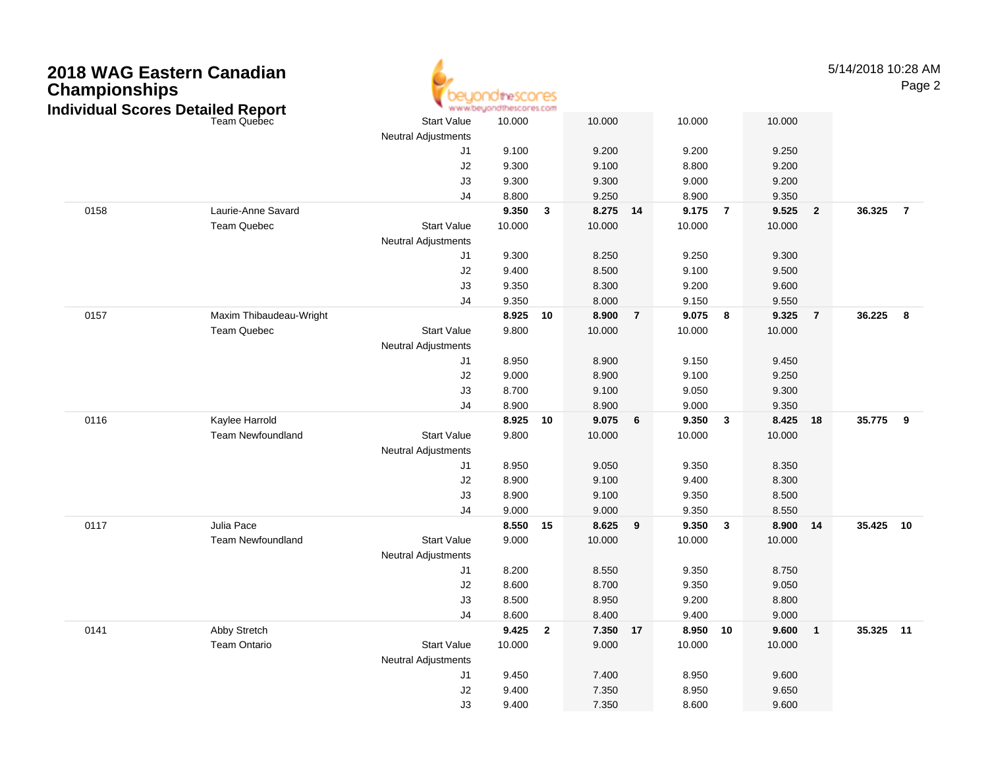| <b>Championships</b> | 2018 WAG Eastern Canadian<br><b>Individual Scores Detailed Report</b> |                            | theSCOCES<br>www.beuondthescores.com |              |                |                |                |                |                |                         | 5/14/2018 10:28 AM | Page 2                  |
|----------------------|-----------------------------------------------------------------------|----------------------------|--------------------------------------|--------------|----------------|----------------|----------------|----------------|----------------|-------------------------|--------------------|-------------------------|
|                      | <b>Team Quebec</b>                                                    | <b>Start Value</b>         | 10.000                               |              | 10.000         |                | 10.000         |                | 10.000         |                         |                    |                         |
|                      |                                                                       | Neutral Adjustments        |                                      |              |                |                |                |                |                |                         |                    |                         |
|                      |                                                                       | J1                         | 9.100                                |              | 9.200          |                | 9.200          |                | 9.250          |                         |                    |                         |
|                      |                                                                       | J2                         | 9.300                                |              | 9.100          |                | 8.800          |                | 9.200          |                         |                    |                         |
|                      |                                                                       | J3<br>J <sub>4</sub>       | 9.300<br>8.800                       |              | 9.300          |                | 9.000          |                | 9.200          |                         |                    |                         |
| 0158                 | Laurie-Anne Savard                                                    |                            | 9.350                                | $\mathbf{3}$ | 9.250<br>8.275 | 14             | 8.900<br>9.175 | $\overline{7}$ | 9.350<br>9.525 | $\overline{2}$          | 36.325             | $\overline{7}$          |
|                      | Team Quebec                                                           | <b>Start Value</b>         | 10.000                               |              | 10.000         |                | 10.000         |                | 10.000         |                         |                    |                         |
|                      |                                                                       | Neutral Adjustments        |                                      |              |                |                |                |                |                |                         |                    |                         |
|                      |                                                                       | J1                         | 9.300                                |              | 8.250          |                | 9.250          |                | 9.300          |                         |                    |                         |
|                      |                                                                       | J2                         | 9.400                                |              | 8.500          |                | 9.100          |                | 9.500          |                         |                    |                         |
|                      |                                                                       | J3                         | 9.350                                |              | 8.300          |                | 9.200          |                | 9.600          |                         |                    |                         |
|                      |                                                                       | J <sub>4</sub>             | 9.350                                |              | 8.000          |                | 9.150          |                | 9.550          |                         |                    |                         |
| 0157                 | Maxim Thibaudeau-Wright                                               |                            | 8.925                                | 10           | 8.900          | $\overline{7}$ | 9.075          | 8              | 9.325          | $\overline{7}$          | 36.225             | $\overline{\mathbf{8}}$ |
|                      | Team Quebec                                                           | <b>Start Value</b>         | 9.800                                |              | 10.000         |                | 10.000         |                | 10.000         |                         |                    |                         |
|                      |                                                                       | Neutral Adjustments        |                                      |              |                |                |                |                |                |                         |                    |                         |
|                      |                                                                       | J1                         | 8.950                                |              | 8.900          |                | 9.150          |                | 9.450          |                         |                    |                         |
|                      |                                                                       | J2                         | 9.000                                |              | 8.900          |                | 9.100          |                | 9.250          |                         |                    |                         |
|                      |                                                                       | J3                         | 8.700                                |              | 9.100          |                | 9.050          |                | 9.300          |                         |                    |                         |
|                      |                                                                       | J4                         | 8.900                                |              | 8.900          |                | 9.000          |                | 9.350          |                         |                    |                         |
| 0116                 | Kaylee Harrold                                                        |                            | 8.925                                | 10           | 9.075          | 6              | 9.350          | $\mathbf{3}$   | 8.425          | 18                      | 35.775             | $\overline{\mathbf{9}}$ |
|                      | <b>Team Newfoundland</b>                                              | <b>Start Value</b>         | 9.800                                |              | 10.000         |                | 10.000         |                | 10.000         |                         |                    |                         |
|                      |                                                                       | <b>Neutral Adjustments</b> |                                      |              |                |                |                |                |                |                         |                    |                         |
|                      |                                                                       | J1                         | 8.950                                |              | 9.050          |                | 9.350          |                | 8.350          |                         |                    |                         |
|                      |                                                                       | J2<br>J3                   | 8.900<br>8.900                       |              | 9.100<br>9.100 |                | 9.400<br>9.350 |                | 8.300<br>8.500 |                         |                    |                         |
|                      |                                                                       | J4                         | 9.000                                |              | 9.000          |                | 9.350          |                | 8.550          |                         |                    |                         |
| 0117                 | Julia Pace                                                            |                            | 8.550 15                             |              | 8.625          | 9              | 9.350          | 3              | 8.900          | 14                      | 35.425 10          |                         |
|                      | <b>Team Newfoundland</b>                                              | <b>Start Value</b>         | 9.000                                |              | 10.000         |                | 10.000         |                | 10.000         |                         |                    |                         |
|                      |                                                                       | <b>Neutral Adjustments</b> |                                      |              |                |                |                |                |                |                         |                    |                         |
|                      |                                                                       | J1                         | 8.200                                |              | 8.550          |                | 9.350          |                | 8.750          |                         |                    |                         |
|                      |                                                                       | J2                         | 8.600                                |              | 8.700          |                | 9.350          |                | 9.050          |                         |                    |                         |
|                      |                                                                       | J3                         | 8.500                                |              | 8.950          |                | 9.200          |                | 8.800          |                         |                    |                         |
|                      |                                                                       | J4                         | 8.600                                |              | 8.400          |                | 9.400          |                | 9.000          |                         |                    |                         |
| 0141                 | Abby Stretch                                                          |                            | 9.425 2                              |              | 7.350          | 17             | 8.950 10       |                | 9.600          | $\overline{\mathbf{1}}$ | 35.325 11          |                         |
|                      | Team Ontario                                                          | <b>Start Value</b>         | 10.000                               |              | 9.000          |                | 10.000         |                | 10.000         |                         |                    |                         |
|                      |                                                                       | Neutral Adjustments        |                                      |              |                |                |                |                |                |                         |                    |                         |
|                      |                                                                       | J1                         | 9.450                                |              | 7.400          |                | 8.950          |                | 9.600          |                         |                    |                         |
|                      |                                                                       | J2                         | 9.400                                |              | 7.350          |                | 8.950          |                | 9.650          |                         |                    |                         |
|                      |                                                                       | J3                         | 9.400                                |              | 7.350          |                | 8.600          |                | 9.600          |                         |                    |                         |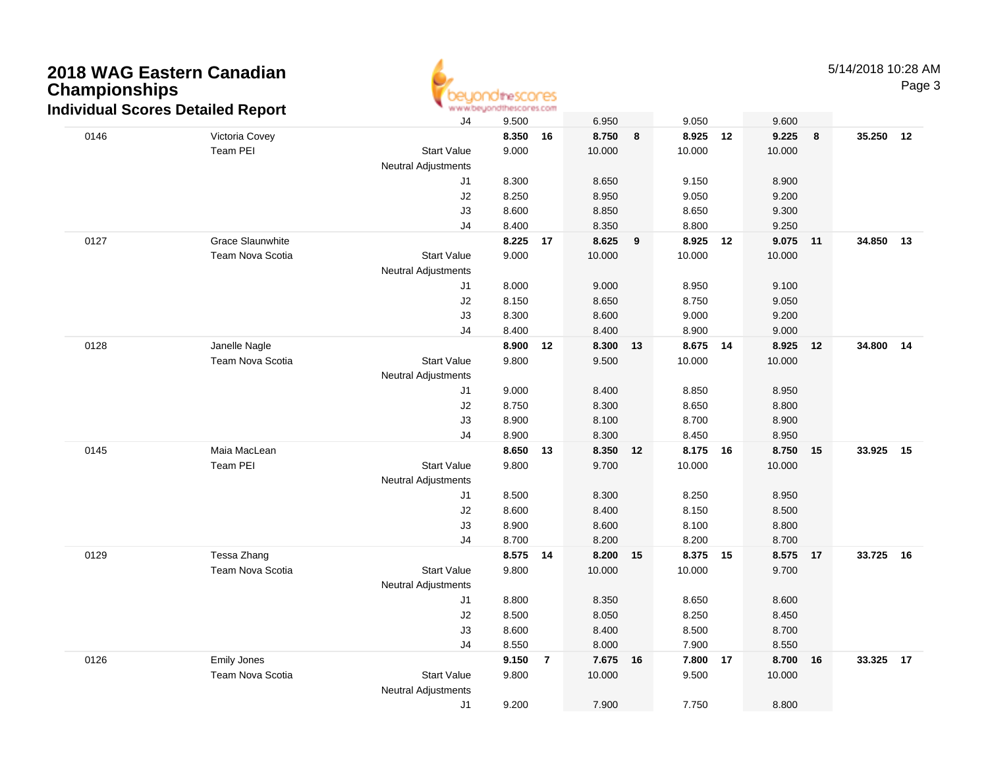

Page 3

|      | iurviuuai Scores Detaileu Neport |                            |       |                |        |    |          |    |          |    |           |  |
|------|----------------------------------|----------------------------|-------|----------------|--------|----|----------|----|----------|----|-----------|--|
|      |                                  | J4                         | 9.500 |                | 6.950  |    | 9.050    |    | 9.600    |    |           |  |
| 0146 | Victoria Covey                   |                            | 8.350 | 16             | 8.750  | 8  | 8.925    | 12 | 9.225    | 8  | 35.250 12 |  |
|      | Team PEI                         | <b>Start Value</b>         | 9.000 |                | 10.000 |    | 10.000   |    | 10.000   |    |           |  |
|      |                                  | Neutral Adjustments        |       |                |        |    |          |    |          |    |           |  |
|      |                                  | J <sub>1</sub>             | 8.300 |                | 8.650  |    | 9.150    |    | 8.900    |    |           |  |
|      |                                  | J2                         | 8.250 |                | 8.950  |    | 9.050    |    | 9.200    |    |           |  |
|      |                                  | J3                         | 8.600 |                | 8.850  |    | 8.650    |    | 9.300    |    |           |  |
|      |                                  | J4                         | 8.400 |                | 8.350  |    | 8.800    |    | 9.250    |    |           |  |
| 0127 | <b>Grace Slaunwhite</b>          |                            | 8.225 | 17             | 8.625  | 9  | 8.925    | 12 | 9.075 11 |    | 34.850 13 |  |
|      | <b>Team Nova Scotia</b>          | <b>Start Value</b>         | 9.000 |                | 10.000 |    | 10.000   |    | 10.000   |    |           |  |
|      |                                  | Neutral Adjustments        |       |                |        |    |          |    |          |    |           |  |
|      |                                  | J <sub>1</sub>             | 8.000 |                | 9.000  |    | 8.950    |    | 9.100    |    |           |  |
|      |                                  | J2                         | 8.150 |                | 8.650  |    | 8.750    |    | 9.050    |    |           |  |
|      |                                  | J3                         | 8.300 |                | 8.600  |    | 9.000    |    | 9.200    |    |           |  |
|      |                                  | J <sub>4</sub>             | 8.400 |                | 8.400  |    | 8.900    |    | 9.000    |    |           |  |
| 0128 | Janelle Nagle                    |                            | 8.900 | 12             | 8.300  | 13 | 8.675 14 |    | 8.925 12 |    | 34.800 14 |  |
|      | Team Nova Scotia                 | <b>Start Value</b>         | 9.800 |                | 9.500  |    | 10.000   |    | 10.000   |    |           |  |
|      |                                  | Neutral Adjustments        |       |                |        |    |          |    |          |    |           |  |
|      |                                  | J <sub>1</sub>             | 9.000 |                | 8.400  |    | 8.850    |    | 8.950    |    |           |  |
|      |                                  | J2                         | 8.750 |                | 8.300  |    | 8.650    |    | 8.800    |    |           |  |
|      |                                  | J3                         | 8.900 |                | 8.100  |    | 8.700    |    | 8.900    |    |           |  |
|      |                                  | J <sub>4</sub>             | 8.900 |                | 8.300  |    | 8.450    |    | 8.950    |    |           |  |
| 0145 | Maia MacLean                     |                            | 8.650 | 13             | 8.350  | 12 | 8.175 16 |    | 8.750    | 15 | 33.925 15 |  |
|      | Team PEI                         | <b>Start Value</b>         | 9.800 |                | 9.700  |    | 10.000   |    | 10.000   |    |           |  |
|      |                                  | Neutral Adjustments        |       |                |        |    |          |    |          |    |           |  |
|      |                                  | J <sub>1</sub>             | 8.500 |                | 8.300  |    | 8.250    |    | 8.950    |    |           |  |
|      |                                  | J2                         | 8.600 |                | 8.400  |    | 8.150    |    | 8.500    |    |           |  |
|      |                                  | J3                         | 8.900 |                | 8.600  |    | 8.100    |    | 8.800    |    |           |  |
|      |                                  | J <sub>4</sub>             | 8.700 |                | 8.200  |    | 8.200    |    | 8.700    |    |           |  |
| 0129 | Tessa Zhang                      |                            | 8.575 | 14             | 8.200  | 15 | 8.375 15 |    | 8.575 17 |    | 33.725 16 |  |
|      | <b>Team Nova Scotia</b>          | <b>Start Value</b>         | 9.800 |                | 10.000 |    | 10.000   |    | 9.700    |    |           |  |
|      |                                  | <b>Neutral Adjustments</b> |       |                |        |    |          |    |          |    |           |  |
|      |                                  | J1                         | 8.800 |                | 8.350  |    | 8.650    |    | 8.600    |    |           |  |
|      |                                  | J2                         | 8.500 |                | 8.050  |    | 8.250    |    | 8.450    |    |           |  |
|      |                                  | J3                         | 8.600 |                | 8.400  |    | 8.500    |    | 8.700    |    |           |  |
|      |                                  | J <sub>4</sub>             | 8.550 |                | 8.000  |    | 7.900    |    | 8.550    |    |           |  |
| 0126 | Emily Jones                      |                            | 9.150 | $\overline{7}$ | 7.675  | 16 | 7.800    | 17 | 8.700    | 16 | 33.325 17 |  |
|      | Team Nova Scotia                 | <b>Start Value</b>         | 9.800 |                | 10.000 |    | 9.500    |    | 10.000   |    |           |  |
|      |                                  | <b>Neutral Adjustments</b> |       |                |        |    |          |    |          |    |           |  |
|      |                                  | J <sub>1</sub>             | 9.200 |                | 7.900  |    | 7.750    |    | 8.800    |    |           |  |
|      |                                  |                            |       |                |        |    |          |    |          |    |           |  |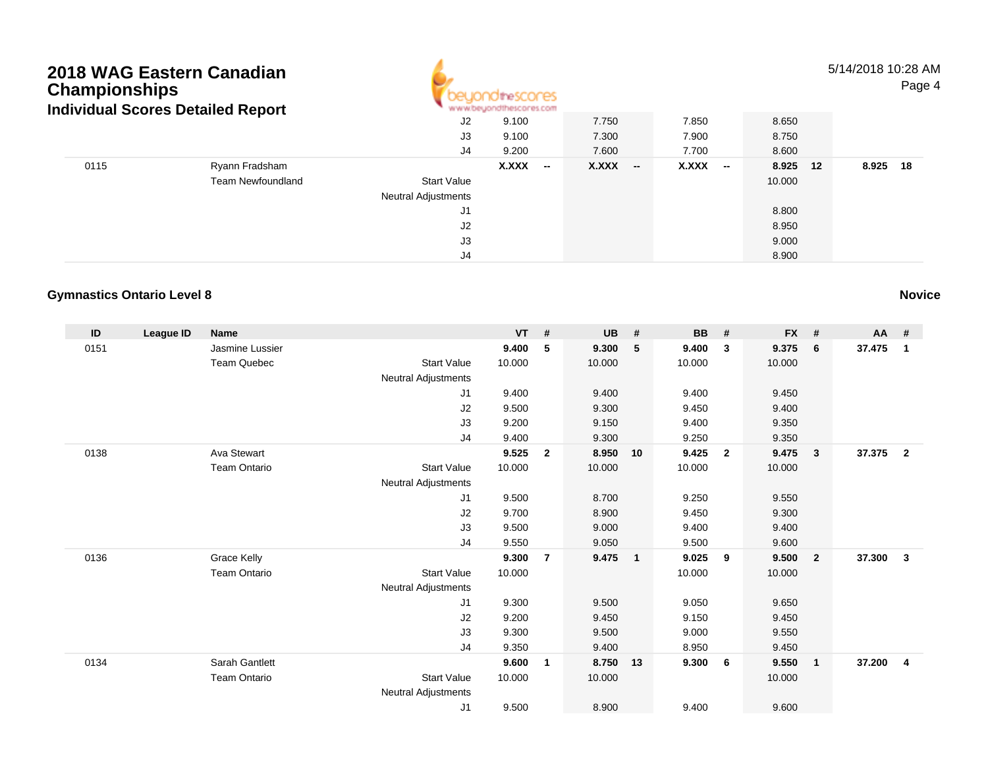

#### 5/14/2018 10:28 AMPage 4

|      | individual Scores Detailed Report |                            | All All Advisors/South and in Microfilm, as a straight |                                   |         |          |             |
|------|-----------------------------------|----------------------------|--------------------------------------------------------|-----------------------------------|---------|----------|-------------|
|      |                                   | J2                         | 9.100                                                  | 7.750                             | 7.850   | 8.650    |             |
|      |                                   | J3                         | 9.100                                                  | 7.300                             | 7.900   | 8.750    |             |
|      |                                   | J4                         | 9.200                                                  | 7.600                             | 7.700   | 8.600    |             |
| 0115 | Ryann Fradsham                    |                            | X.XXX<br>$\overline{\phantom{a}}$                      | X.XXX<br>$\overline{\phantom{a}}$ | $XXX -$ | 8.925 12 | 8.925<br>18 |
|      | <b>Team Newfoundland</b>          | <b>Start Value</b>         |                                                        |                                   |         | 10.000   |             |
|      |                                   | <b>Neutral Adjustments</b> |                                                        |                                   |         |          |             |
|      |                                   | J1                         |                                                        |                                   |         | 8.800    |             |
|      |                                   | J2                         |                                                        |                                   |         | 8.950    |             |
|      |                                   | J3                         |                                                        |                                   |         | 9.000    |             |
|      |                                   | J4                         |                                                        |                                   |         | 8.900    |             |

### **Gymnastics Ontario Level 8**

| ID   | League ID | <b>Name</b>         |                            | <b>VT</b> | #                       | <b>UB</b> | #              | <b>BB</b> | #              | <b>FX</b> | #            | $AA$ # |                         |
|------|-----------|---------------------|----------------------------|-----------|-------------------------|-----------|----------------|-----------|----------------|-----------|--------------|--------|-------------------------|
| 0151 |           | Jasmine Lussier     |                            | 9.400     | 5                       | 9.300     | 5              | 9.400     | 3              | 9.375     | 6            | 37.475 | $\overline{1}$          |
|      |           | <b>Team Quebec</b>  | <b>Start Value</b>         | 10.000    |                         | 10.000    |                | 10.000    |                | 10.000    |              |        |                         |
|      |           |                     | Neutral Adjustments        |           |                         |           |                |           |                |           |              |        |                         |
|      |           |                     | J <sub>1</sub>             | 9.400     |                         | 9.400     |                | 9.400     |                | 9.450     |              |        |                         |
|      |           |                     | J2                         | 9.500     |                         | 9.300     |                | 9.450     |                | 9.400     |              |        |                         |
|      |           |                     | J3                         | 9.200     |                         | 9.150     |                | 9.400     |                | 9.350     |              |        |                         |
|      |           |                     | J4                         | 9.400     |                         | 9.300     |                | 9.250     |                | 9.350     |              |        |                         |
| 0138 |           | Ava Stewart         |                            | 9.525     | $\overline{\mathbf{2}}$ | 8.950     | 10             | 9.425     | $\overline{2}$ | 9.475     | 3            | 37.375 | $\overline{\mathbf{2}}$ |
|      |           | <b>Team Ontario</b> | <b>Start Value</b>         | 10.000    |                         | 10.000    |                | 10.000    |                | 10.000    |              |        |                         |
|      |           |                     | Neutral Adjustments        |           |                         |           |                |           |                |           |              |        |                         |
|      |           |                     | J1                         | 9.500     |                         | 8.700     |                | 9.250     |                | 9.550     |              |        |                         |
|      |           |                     | J2                         | 9.700     |                         | 8.900     |                | 9.450     |                | 9.300     |              |        |                         |
|      |           |                     | J3                         | 9.500     |                         | 9.000     |                | 9.400     |                | 9.400     |              |        |                         |
|      |           |                     | J4                         | 9.550     |                         | 9.050     |                | 9.500     |                | 9.600     |              |        |                         |
| 0136 |           | Grace Kelly         |                            | 9.300     | $\overline{7}$          | 9.475     | $\overline{1}$ | 9.025     | 9              | 9.500     | $\mathbf{2}$ | 37.300 | $\overline{\mathbf{3}}$ |
|      |           | <b>Team Ontario</b> | <b>Start Value</b>         | 10.000    |                         |           |                | 10.000    |                | 10.000    |              |        |                         |
|      |           |                     | <b>Neutral Adjustments</b> |           |                         |           |                |           |                |           |              |        |                         |
|      |           |                     | J1                         | 9.300     |                         | 9.500     |                | 9.050     |                | 9.650     |              |        |                         |
|      |           |                     | J2                         | 9.200     |                         | 9.450     |                | 9.150     |                | 9.450     |              |        |                         |
|      |           |                     | J3                         | 9.300     |                         | 9.500     |                | 9.000     |                | 9.550     |              |        |                         |
|      |           |                     | J <sub>4</sub>             | 9.350     |                         | 9.400     |                | 8.950     |                | 9.450     |              |        |                         |
| 0134 |           | Sarah Gantlett      |                            | 9.600     | $\overline{1}$          | 8.750     | 13             | 9.300     | - 6            | 9.550     | $\mathbf{1}$ | 37.200 | $\overline{4}$          |
|      |           | <b>Team Ontario</b> | <b>Start Value</b>         | 10.000    |                         | 10.000    |                |           |                | 10.000    |              |        |                         |
|      |           |                     | Neutral Adjustments        |           |                         |           |                |           |                |           |              |        |                         |
|      |           |                     | J <sub>1</sub>             | 9.500     |                         | 8.900     |                | 9.400     |                | 9.600     |              |        |                         |

**Novice**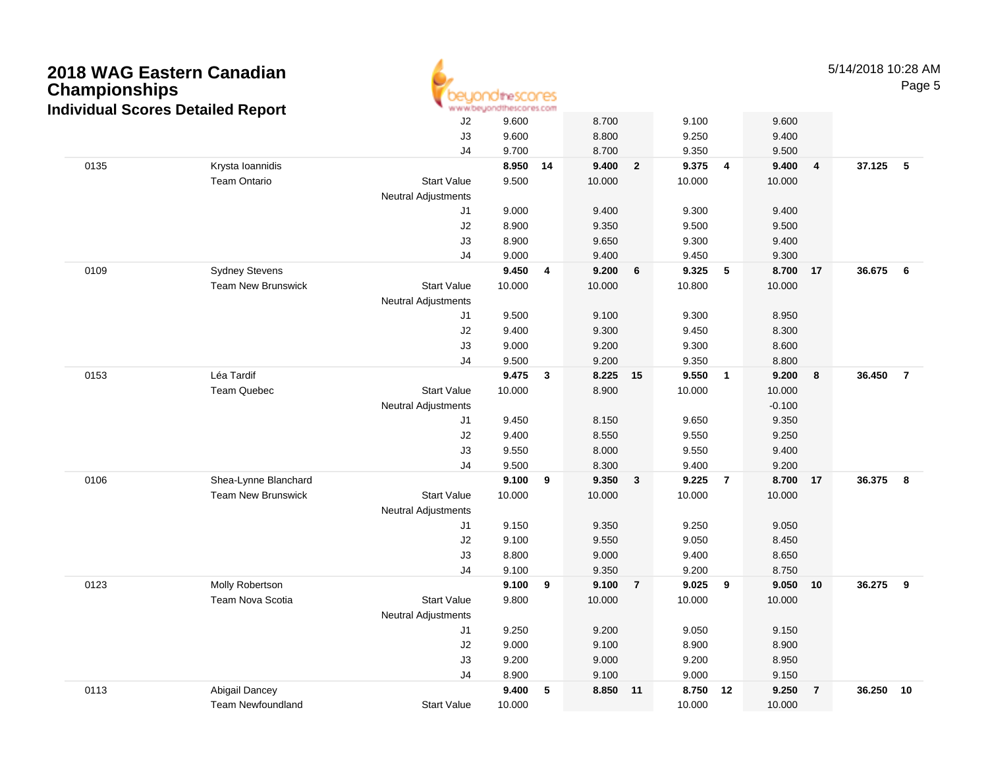| <b>Championships</b> | 2018 WAG Eastern Canadian<br><b>Individual Scores Detailed Report</b> | www.beuor                  | OtheSCOCES              |                          |                         |                |                         |                         |                         |                | 5/14/2018 10:28 AM | Page 5         |
|----------------------|-----------------------------------------------------------------------|----------------------------|-------------------------|--------------------------|-------------------------|----------------|-------------------------|-------------------------|-------------------------|----------------|--------------------|----------------|
|                      |                                                                       | J2<br>J3<br>J4             | 9.600<br>9.600<br>9.700 |                          | 8.700<br>8.800<br>8.700 |                | 9.100<br>9.250<br>9.350 |                         | 9.600<br>9.400<br>9.500 |                |                    |                |
| 0135                 | Krysta Ioannidis                                                      |                            | 8.950                   | - 14                     | 9.400                   | $\overline{2}$ | 9.375                   | $\overline{4}$          | 9.400                   | 4              | 37.125             | 5              |
|                      | <b>Team Ontario</b>                                                   | <b>Start Value</b>         | 9.500                   |                          | 10.000                  |                | 10.000                  |                         | 10.000                  |                |                    |                |
|                      |                                                                       | <b>Neutral Adjustments</b> |                         |                          |                         |                |                         |                         |                         |                |                    |                |
|                      |                                                                       | J1                         | 9.000                   |                          | 9.400                   |                | 9.300                   |                         | 9.400                   |                |                    |                |
|                      |                                                                       | J2                         | 8.900                   |                          | 9.350                   |                | 9.500                   |                         | 9.500                   |                |                    |                |
|                      |                                                                       | J3                         | 8.900                   |                          | 9.650                   |                | 9.300                   |                         | 9.400                   |                |                    |                |
|                      |                                                                       | J <sub>4</sub>             | 9.000                   |                          | 9.400                   |                | 9.450                   |                         | 9.300                   |                |                    |                |
| 0109                 | <b>Sydney Stevens</b>                                                 |                            | 9.450                   | $\overline{4}$           | 9.200                   | 6              | 9.325                   | 5                       | 8.700                   | 17             | 36.675             | 6              |
|                      | <b>Team New Brunswick</b>                                             | <b>Start Value</b>         | 10.000                  |                          | 10.000                  |                | 10.800                  |                         | 10.000                  |                |                    |                |
|                      |                                                                       | <b>Neutral Adjustments</b> |                         |                          |                         |                |                         |                         |                         |                |                    |                |
|                      |                                                                       | J1                         | 9.500                   |                          | 9.100                   |                | 9.300                   |                         | 8.950                   |                |                    |                |
|                      |                                                                       | J2<br>J3                   | 9.400<br>9.000          |                          | 9.300<br>9.200          |                | 9.450<br>9.300          |                         | 8.300<br>8.600          |                |                    |                |
|                      |                                                                       | J <sub>4</sub>             | 9.500                   |                          | 9.200                   |                | 9.350                   |                         | 8.800                   |                |                    |                |
| 0153                 | Léa Tardif                                                            |                            | 9.475                   | $\mathbf{3}$             | 8.225                   | 15             | 9.550                   | $\overline{\mathbf{1}}$ | 9.200                   | 8              | 36.450             | $\overline{7}$ |
|                      | <b>Team Quebec</b>                                                    | <b>Start Value</b>         | 10.000                  |                          | 8.900                   |                | 10.000                  |                         | 10.000                  |                |                    |                |
|                      |                                                                       | <b>Neutral Adjustments</b> |                         |                          |                         |                |                         |                         | $-0.100$                |                |                    |                |
|                      |                                                                       | J1                         | 9.450                   |                          | 8.150                   |                | 9.650                   |                         | 9.350                   |                |                    |                |
|                      |                                                                       | J2                         | 9.400                   |                          | 8.550                   |                | 9.550                   |                         | 9.250                   |                |                    |                |
|                      |                                                                       | J3                         | 9.550                   |                          | 8.000                   |                | 9.550                   |                         | 9.400                   |                |                    |                |
|                      |                                                                       | J <sub>4</sub>             | 9.500                   |                          | 8.300                   |                | 9.400                   |                         | 9.200                   |                |                    |                |
| 0106                 | Shea-Lynne Blanchard                                                  |                            | 9.100                   | - 9                      | 9.350                   | 3              | 9.225                   | $\overline{7}$          | 8.700                   | 17             | 36.375             | 8              |
|                      | <b>Team New Brunswick</b>                                             | <b>Start Value</b>         | 10.000                  |                          | 10.000                  |                | 10.000                  |                         | 10.000                  |                |                    |                |
|                      |                                                                       | <b>Neutral Adjustments</b> |                         |                          |                         |                |                         |                         |                         |                |                    |                |
|                      |                                                                       | J1                         | 9.150                   |                          | 9.350                   |                | 9.250                   |                         | 9.050                   |                |                    |                |
|                      |                                                                       | J2                         | 9.100                   |                          | 9.550                   |                | 9.050                   |                         | 8.450                   |                |                    |                |
|                      |                                                                       | J3                         | 8.800                   |                          | 9.000                   |                | 9.400                   |                         | 8.650                   |                |                    |                |
|                      |                                                                       | J <sub>4</sub>             | 9.100                   |                          | 9.350                   |                | 9.200                   |                         | 8.750                   |                |                    |                |
| 0123                 | Molly Robertson                                                       |                            | 9.100                   | 9                        | 9.100                   | $\overline{7}$ | 9.025                   | 9                       | 9.050                   | 10             | 36.275             | 9              |
|                      | Team Nova Scotia                                                      | <b>Start Value</b>         | 9.800                   |                          | 10.000                  |                | 10.000                  |                         | 10.000                  |                |                    |                |
|                      |                                                                       | Neutral Adjustments        |                         |                          |                         |                |                         |                         |                         |                |                    |                |
|                      |                                                                       | J1                         | 9.250                   |                          | 9.200                   |                | 9.050                   |                         | 9.150                   |                |                    |                |
|                      |                                                                       | J2                         | 9.000                   |                          | 9.100                   |                | 8.900                   |                         | 8.900                   |                |                    |                |
|                      |                                                                       | J3                         | 9.200                   |                          | 9.000                   |                | 9.200                   |                         | 8.950                   |                |                    |                |
|                      |                                                                       | J <sub>4</sub>             | 8.900                   |                          | 9.100                   |                | 9.000                   |                         | 9.150                   |                |                    |                |
| 0113                 | Abigail Dancey                                                        |                            | 9.400                   | $\overline{\phantom{0}}$ | 8.850 11                |                | 8.750 12                |                         | 9.250                   | $\overline{7}$ | 36.250 10          |                |
|                      | Team Newfoundland                                                     | <b>Start Value</b>         | 10.000                  |                          |                         |                | 10.000                  |                         | 10.000                  |                |                    |                |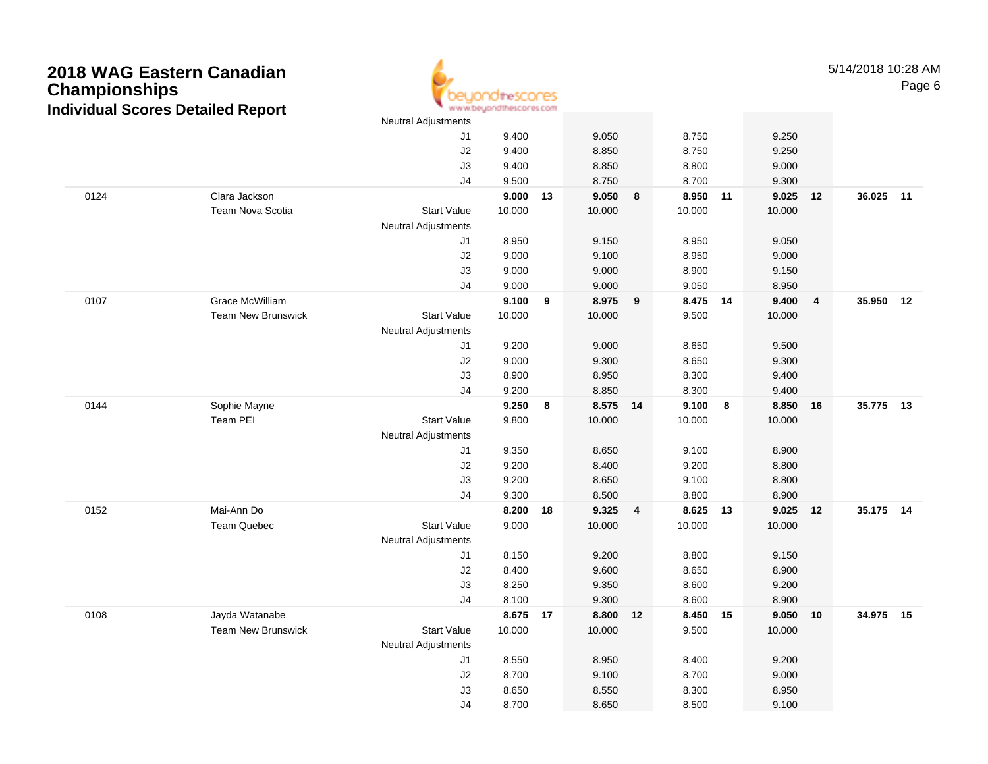

5/14/2018 10:28 AMPage 6

|      |                           | <b>Neutral Adjustments</b> |            |    |          |    |          |   |        |                         |           |    |
|------|---------------------------|----------------------------|------------|----|----------|----|----------|---|--------|-------------------------|-----------|----|
|      |                           | J1                         | 9.400      |    | 9.050    |    | 8.750    |   | 9.250  |                         |           |    |
|      |                           | J2                         | 9.400      |    | 8.850    |    | 8.750    |   | 9.250  |                         |           |    |
|      |                           | J3                         | 9.400      |    | 8.850    |    | 8.800    |   | 9.000  |                         |           |    |
|      |                           | J4                         | 9.500      |    | 8.750    |    | 8.700    |   | 9.300  |                         |           |    |
| 0124 | Clara Jackson             |                            | $9.000$ 13 |    | 9.050    | 8  | 8.950 11 |   | 9.025  | 12                      | 36.025 11 |    |
|      | Team Nova Scotia          | <b>Start Value</b>         | 10.000     |    | 10.000   |    | 10.000   |   | 10.000 |                         |           |    |
|      |                           | Neutral Adjustments        |            |    |          |    |          |   |        |                         |           |    |
|      |                           | J1                         | 8.950      |    | 9.150    |    | 8.950    |   | 9.050  |                         |           |    |
|      |                           | J2                         | 9.000      |    | 9.100    |    | 8.950    |   | 9.000  |                         |           |    |
|      |                           | J3                         | 9.000      |    | 9.000    |    | 8.900    |   | 9.150  |                         |           |    |
|      |                           | J4                         | 9.000      |    | 9.000    |    | 9.050    |   | 8.950  |                         |           |    |
| 0107 | <b>Grace McWilliam</b>    |                            | 9.100      | 9  | 8.975    | 9  | 8.475 14 |   | 9.400  | $\overline{\mathbf{4}}$ | 35.950    | 12 |
|      | <b>Team New Brunswick</b> | <b>Start Value</b>         | 10.000     |    | 10.000   |    | 9.500    |   | 10.000 |                         |           |    |
|      |                           | Neutral Adjustments        |            |    |          |    |          |   |        |                         |           |    |
|      |                           | J1                         | 9.200      |    | 9.000    |    | 8.650    |   | 9.500  |                         |           |    |
|      |                           | J2                         | 9.000      |    | 9.300    |    | 8.650    |   | 9.300  |                         |           |    |
|      |                           | J3                         | 8.900      |    | 8.950    |    | 8.300    |   | 9.400  |                         |           |    |
|      |                           | J4                         | 9.200      |    | 8.850    |    | 8.300    |   | 9.400  |                         |           |    |
| 0144 | Sophie Mayne              |                            | 9.250      | 8  | 8.575 14 |    | 9.100    | 8 | 8.850  | 16                      | 35.775 13 |    |
|      | Team PEI                  | <b>Start Value</b>         | 9.800      |    | 10.000   |    | 10.000   |   | 10.000 |                         |           |    |
|      |                           | <b>Neutral Adjustments</b> |            |    |          |    |          |   |        |                         |           |    |
|      |                           | J1                         | 9.350      |    | 8.650    |    | 9.100    |   | 8.900  |                         |           |    |
|      |                           | $\sf J2$                   | 9.200      |    | 8.400    |    | 9.200    |   | 8.800  |                         |           |    |
|      |                           | J3                         | 9.200      |    | 8.650    |    | 9.100    |   | 8.800  |                         |           |    |
|      |                           | J4                         | 9.300      |    | 8.500    |    | 8.800    |   | 8.900  |                         |           |    |
| 0152 | Mai-Ann Do                |                            | 8.200      | 18 | 9.325    | 4  | 8.625 13 |   | 9.025  | 12                      | 35.175 14 |    |
|      | <b>Team Quebec</b>        | <b>Start Value</b>         | 9.000      |    | 10.000   |    | 10.000   |   | 10.000 |                         |           |    |
|      |                           | <b>Neutral Adjustments</b> |            |    |          |    |          |   |        |                         |           |    |
|      |                           | J1                         | 8.150      |    | 9.200    |    | 8.800    |   | 9.150  |                         |           |    |
|      |                           | J2                         | 8.400      |    | 9.600    |    | 8.650    |   | 8.900  |                         |           |    |
|      |                           | J3                         | 8.250      |    | 9.350    |    | 8.600    |   | 9.200  |                         |           |    |
|      |                           | J4                         | 8.100      |    | 9.300    |    | 8.600    |   | 8.900  |                         |           |    |
| 0108 | Jayda Watanabe            |                            | 8.675 17   |    | 8.800    | 12 | 8.450 15 |   | 9.050  | 10                      | 34.975 15 |    |
|      | <b>Team New Brunswick</b> | <b>Start Value</b>         | 10.000     |    | 10.000   |    | 9.500    |   | 10.000 |                         |           |    |
|      |                           | Neutral Adjustments        |            |    |          |    |          |   |        |                         |           |    |
|      |                           | J1                         | 8.550      |    | 8.950    |    | 8.400    |   | 9.200  |                         |           |    |
|      |                           | $\sf J2$                   | 8.700      |    | 9.100    |    | 8.700    |   | 9.000  |                         |           |    |
|      |                           | J3                         | 8.650      |    | 8.550    |    | 8.300    |   | 8.950  |                         |           |    |
|      |                           | J <sub>4</sub>             | 8.700      |    | 8.650    |    | 8.500    |   | 9.100  |                         |           |    |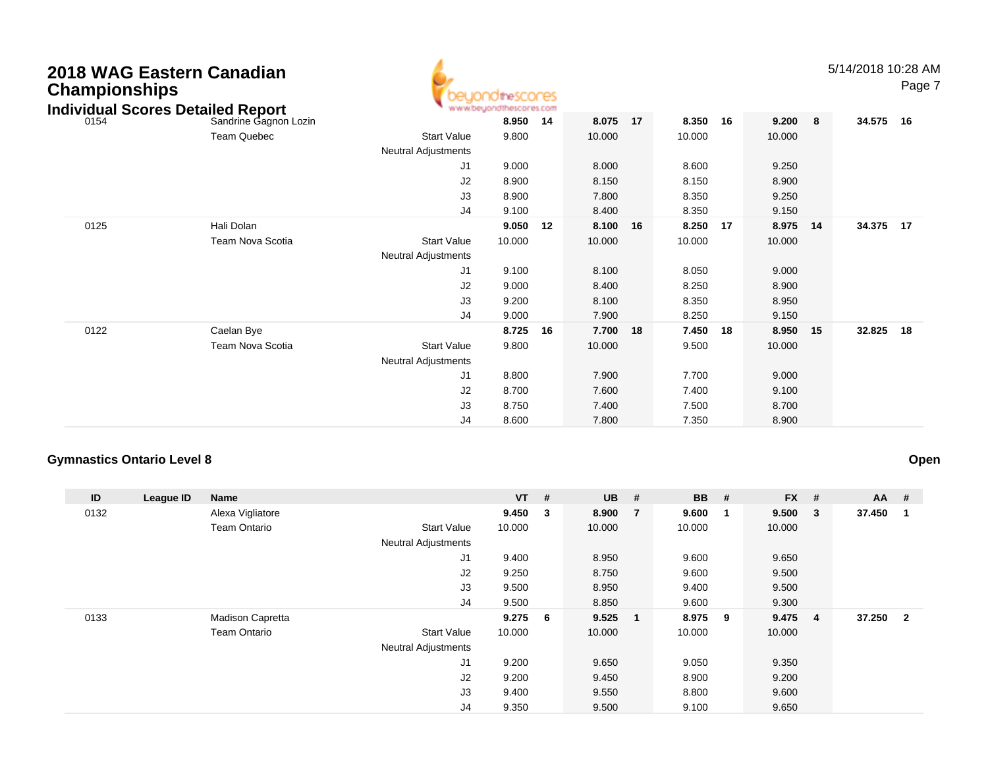| 2018 WAG Eastern Canadian<br><b>Championships</b><br><b>Individual Scores Detailed Report</b> |                         |                     | heSCOCES |    |        |    |        |    |        |    | 5/14/2018 10:28 AM | Page 7 |
|-----------------------------------------------------------------------------------------------|-------------------------|---------------------|----------|----|--------|----|--------|----|--------|----|--------------------|--------|
| 0154                                                                                          | Sandrine Gagnon Lozin   |                     | 8.950    | 14 | 8.075  | 17 | 8.350  | 16 | 9.200  | 8  | 34.575             | 16     |
|                                                                                               | <b>Team Quebec</b>      | <b>Start Value</b>  | 9.800    |    | 10.000 |    | 10.000 |    | 10.000 |    |                    |        |
|                                                                                               |                         | Neutral Adjustments |          |    |        |    |        |    |        |    |                    |        |
|                                                                                               |                         | J <sub>1</sub>      | 9.000    |    | 8.000  |    | 8.600  |    | 9.250  |    |                    |        |
|                                                                                               |                         | J2                  | 8.900    |    | 8.150  |    | 8.150  |    | 8.900  |    |                    |        |
|                                                                                               |                         | J3                  | 8.900    |    | 7.800  |    | 8.350  |    | 9.250  |    |                    |        |
|                                                                                               |                         | J4                  | 9.100    |    | 8.400  |    | 8.350  |    | 9.150  |    |                    |        |
| 0125                                                                                          | Hali Dolan              |                     | 9.050 12 |    | 8.100  | 16 | 8.250  | 17 | 8.975  | 14 | 34.375             | 17     |
|                                                                                               | <b>Team Nova Scotia</b> | <b>Start Value</b>  | 10.000   |    | 10.000 |    | 10.000 |    | 10.000 |    |                    |        |
|                                                                                               |                         | Neutral Adjustments |          |    |        |    |        |    |        |    |                    |        |
|                                                                                               |                         | J <sub>1</sub>      | 9.100    |    | 8.100  |    | 8.050  |    | 9.000  |    |                    |        |
|                                                                                               |                         | J2                  | 9.000    |    | 8.400  |    | 8.250  |    | 8.900  |    |                    |        |
|                                                                                               |                         | J3                  | 9.200    |    | 8.100  |    | 8.350  |    | 8.950  |    |                    |        |
|                                                                                               |                         | J4                  | 9.000    |    | 7.900  |    | 8.250  |    | 9.150  |    |                    |        |
| 0122                                                                                          | Caelan Bye              |                     | 8.725    | 16 | 7.700  | 18 | 7.450  | 18 | 8.950  | 15 | 32.825             | 18     |
|                                                                                               | <b>Team Nova Scotia</b> | <b>Start Value</b>  | 9.800    |    | 10.000 |    | 9.500  |    | 10.000 |    |                    |        |
|                                                                                               |                         | Neutral Adjustments |          |    |        |    |        |    |        |    |                    |        |
|                                                                                               |                         | J1                  | 8.800    |    | 7.900  |    | 7.700  |    | 9.000  |    |                    |        |
|                                                                                               |                         | J2                  | 8.700    |    | 7.600  |    | 7.400  |    | 9.100  |    |                    |        |
|                                                                                               |                         | J3                  | 8.750    |    | 7.400  |    | 7.500  |    | 8.700  |    |                    |        |

J4

8.600 7.800 7.350 8.900

### **Gymnastics Ontario Level 8**

| ID   | League ID | Name                    |                            | <b>VT</b> | #                       | <b>UB</b> | #              | <b>BB</b> | #   | <b>FX</b> | #              | <b>AA</b> | #              |
|------|-----------|-------------------------|----------------------------|-----------|-------------------------|-----------|----------------|-----------|-----|-----------|----------------|-----------|----------------|
| 0132 |           | Alexa Vigliatore        |                            | 9.450     | $\overline{\mathbf{3}}$ | 8.900     | $\overline{7}$ | 9.600     | - 1 | 9.500     | - 3            | 37.450    | -1             |
|      |           | <b>Team Ontario</b>     | <b>Start Value</b>         | 10.000    |                         | 10.000    |                | 10.000    |     | 10.000    |                |           |                |
|      |           |                         | <b>Neutral Adjustments</b> |           |                         |           |                |           |     |           |                |           |                |
|      |           |                         | J1                         | 9.400     |                         | 8.950     |                | 9.600     |     | 9.650     |                |           |                |
|      |           |                         | J2                         | 9.250     |                         | 8.750     |                | 9.600     |     | 9.500     |                |           |                |
|      |           |                         | J3                         | 9.500     |                         | 8.950     |                | 9.400     |     | 9.500     |                |           |                |
|      |           |                         | J4                         | 9.500     |                         | 8.850     |                | 9.600     |     | 9.300     |                |           |                |
| 0133 |           | <b>Madison Capretta</b> |                            | 9.2756    |                         | 9.525     | $\blacksquare$ | 8.975     | - 9 | 9.475     | $\overline{4}$ | 37.250    | $\overline{2}$ |
|      |           | <b>Team Ontario</b>     | <b>Start Value</b>         | 10.000    |                         | 10.000    |                | 10.000    |     | 10.000    |                |           |                |
|      |           |                         | <b>Neutral Adjustments</b> |           |                         |           |                |           |     |           |                |           |                |
|      |           |                         | J <sub>1</sub>             | 9.200     |                         | 9.650     |                | 9.050     |     | 9.350     |                |           |                |
|      |           |                         | J <sub>2</sub>             | 9.200     |                         | 9.450     |                | 8.900     |     | 9.200     |                |           |                |
|      |           |                         | J3                         | 9.400     |                         | 9.550     |                | 8.800     |     | 9.600     |                |           |                |
|      |           |                         | J4                         | 9.350     |                         | 9.500     |                | 9.100     |     | 9.650     |                |           |                |

**Open**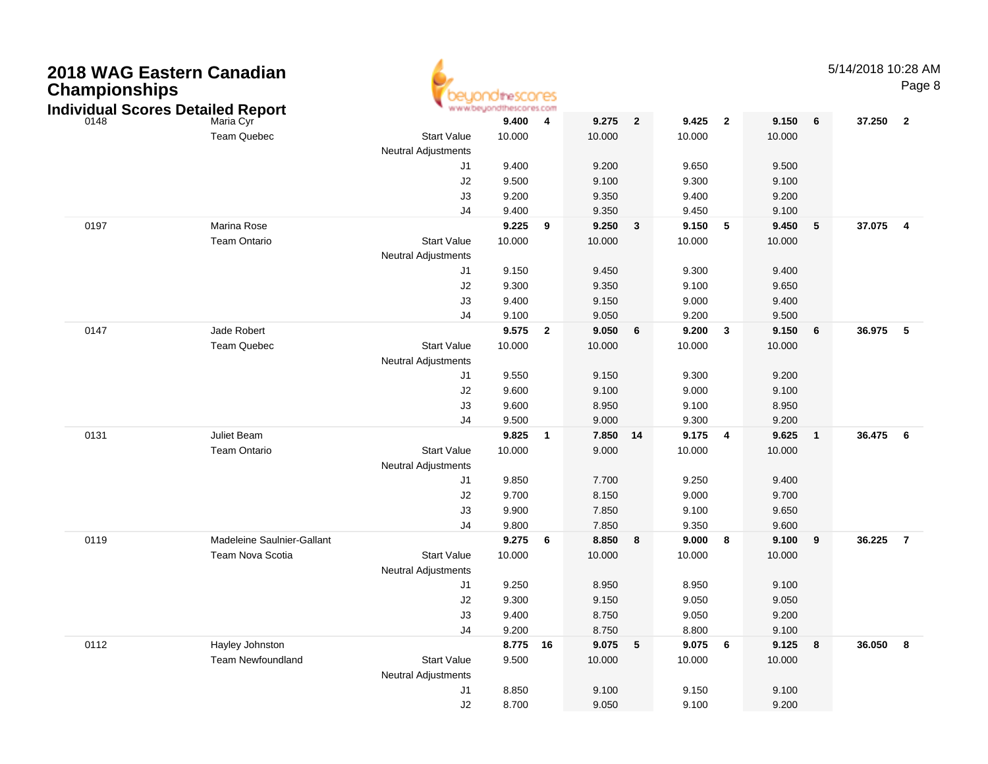| <b>Championships</b> | 2018 WAG Eastern Canadian<br><b>Individual Scores Detailed Report</b> |                            | thescores<br>www.beyondthescores.com |                         |        |                |        |                 |        |              | 5/14/2018 10:28 AM | Page 8                  |
|----------------------|-----------------------------------------------------------------------|----------------------------|--------------------------------------|-------------------------|--------|----------------|--------|-----------------|--------|--------------|--------------------|-------------------------|
| 0148                 | Maria Cyr                                                             |                            | 9.400                                | 4                       | 9.275  | $\overline{2}$ | 9.425  | $\overline{2}$  | 9.150  | 6            | 37.250             | $\overline{\mathbf{2}}$ |
|                      | <b>Team Quebec</b>                                                    | <b>Start Value</b>         | 10.000                               |                         | 10.000 |                | 10.000 |                 | 10.000 |              |                    |                         |
|                      |                                                                       | <b>Neutral Adjustments</b> |                                      |                         |        |                |        |                 |        |              |                    |                         |
|                      |                                                                       | J1                         | 9.400                                |                         | 9.200  |                | 9.650  |                 | 9.500  |              |                    |                         |
|                      |                                                                       | J <sub>2</sub>             | 9.500                                |                         | 9.100  |                | 9.300  |                 | 9.100  |              |                    |                         |
|                      |                                                                       | J3                         | 9.200                                |                         | 9.350  |                | 9.400  |                 | 9.200  |              |                    |                         |
|                      |                                                                       | J4                         | 9.400                                |                         | 9.350  |                | 9.450  |                 | 9.100  |              |                    |                         |
| 0197                 | Marina Rose                                                           |                            | 9.225                                | 9                       | 9.250  | 3              | 9.150  | -5              | 9.450  | 5            | 37.075             | $\overline{4}$          |
|                      | <b>Team Ontario</b>                                                   | <b>Start Value</b>         | 10.000                               |                         | 10.000 |                | 10.000 |                 | 10.000 |              |                    |                         |
|                      |                                                                       | <b>Neutral Adjustments</b> |                                      |                         |        |                |        |                 |        |              |                    |                         |
|                      |                                                                       | J1                         | 9.150                                |                         | 9.450  |                | 9.300  |                 | 9.400  |              |                    |                         |
|                      |                                                                       | J <sub>2</sub>             | 9.300                                |                         | 9.350  |                | 9.100  |                 | 9.650  |              |                    |                         |
|                      |                                                                       | J3                         | 9.400                                |                         | 9.150  |                | 9.000  |                 | 9.400  |              |                    |                         |
|                      |                                                                       | J4                         | 9.100                                |                         | 9.050  |                | 9.200  |                 | 9.500  |              |                    |                         |
| 0147                 | Jade Robert                                                           |                            | 9.575                                | $\overline{\mathbf{2}}$ | 9.050  | 6              | 9.200  | $\mathbf{3}$    | 9.150  | 6            | 36.975             | $-5$                    |
|                      | <b>Team Quebec</b>                                                    | <b>Start Value</b>         | 10.000                               |                         | 10.000 |                | 10.000 |                 | 10.000 |              |                    |                         |
|                      |                                                                       | <b>Neutral Adjustments</b> |                                      |                         |        |                |        |                 |        |              |                    |                         |
|                      |                                                                       | J1                         | 9.550                                |                         | 9.150  |                | 9.300  |                 | 9.200  |              |                    |                         |
|                      |                                                                       | J2                         | 9.600                                |                         | 9.100  |                | 9.000  |                 | 9.100  |              |                    |                         |
|                      |                                                                       | J3                         | 9.600                                |                         | 8.950  |                | 9.100  |                 | 8.950  |              |                    |                         |
|                      |                                                                       | J <sub>4</sub>             | 9.500                                |                         | 9.000  |                | 9.300  |                 | 9.200  |              |                    |                         |
| 0131                 | Juliet Beam                                                           |                            | 9.825                                | $\overline{\mathbf{1}}$ | 7.850  | -14            | 9.175  | $\overline{4}$  | 9.625  | $\mathbf{1}$ | 36.475             | 6                       |
|                      | <b>Team Ontario</b>                                                   | <b>Start Value</b>         | 10.000                               |                         | 9.000  |                | 10.000 |                 | 10.000 |              |                    |                         |
|                      |                                                                       | <b>Neutral Adjustments</b> |                                      |                         |        |                |        |                 |        |              |                    |                         |
|                      |                                                                       | J1                         | 9.850                                |                         | 7.700  |                | 9.250  |                 | 9.400  |              |                    |                         |
|                      |                                                                       | J <sub>2</sub>             | 9.700                                |                         | 8.150  |                | 9.000  |                 | 9.700  |              |                    |                         |
|                      |                                                                       | J3                         | 9.900                                |                         | 7.850  |                | 9.100  |                 | 9.650  |              |                    |                         |
|                      |                                                                       | J4                         | 9.800                                |                         | 7.850  |                | 9.350  |                 | 9.600  |              |                    |                         |
| 0119                 | Madeleine Saulnier-Gallant                                            |                            | 9.275                                | 6                       | 8.850  | 8              | 9.000  | 8               | 9.100  | 9            | 36.225             | $\overline{7}$          |
|                      | Team Nova Scotia                                                      | <b>Start Value</b>         | 10.000                               |                         | 10.000 |                | 10.000 |                 | 10.000 |              |                    |                         |
|                      |                                                                       | <b>Neutral Adjustments</b> |                                      |                         |        |                |        |                 |        |              |                    |                         |
|                      |                                                                       | J1                         | 9.250                                |                         | 8.950  |                | 8.950  |                 | 9.100  |              |                    |                         |
|                      |                                                                       | J2                         | 9.300                                |                         | 9.150  |                | 9.050  |                 | 9.050  |              |                    |                         |
|                      |                                                                       | J3                         | 9.400                                |                         | 8.750  |                | 9.050  |                 | 9.200  |              |                    |                         |
|                      |                                                                       | J <sub>4</sub>             | 9.200                                |                         | 8.750  |                | 8.800  |                 | 9.100  |              |                    |                         |
| 0112                 | Hayley Johnston                                                       |                            | 8.775 16                             |                         | 9.075  | $\sqrt{5}$     | 9.075  | $6\overline{6}$ | 9.125  | 8            | 36.050             | $\overline{\mathbf{8}}$ |
|                      | <b>Team Newfoundland</b>                                              | <b>Start Value</b>         | 9.500                                |                         | 10.000 |                | 10.000 |                 | 10.000 |              |                    |                         |
|                      |                                                                       | Neutral Adjustments        |                                      |                         |        |                |        |                 |        |              |                    |                         |
|                      |                                                                       | J1                         | 8.850                                |                         | 9.100  |                | 9.150  |                 | 9.100  |              |                    |                         |
|                      |                                                                       | J2                         | 8.700                                |                         | 9.050  |                | 9.100  |                 | 9.200  |              |                    |                         |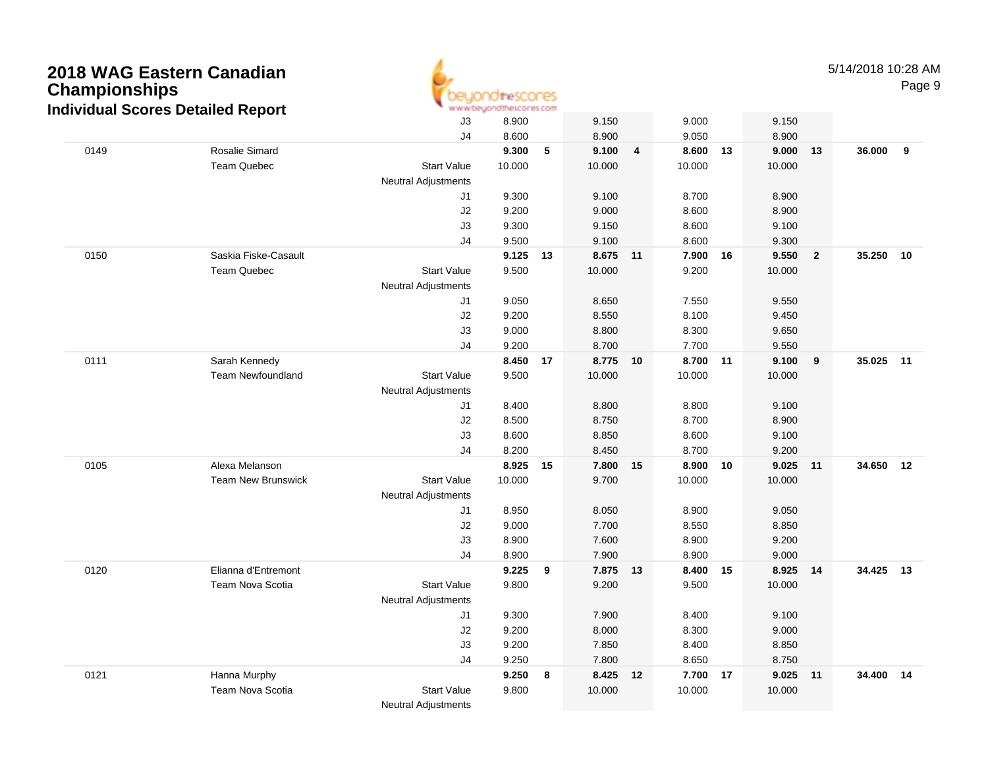

5/14/2018 10:28 AMPage 9

|      | alvidual Ocol co Detailed Report | J3                         | 8.900  |    | 9.150    |                | 9.000    |    | 9.150    |                |           |    |
|------|----------------------------------|----------------------------|--------|----|----------|----------------|----------|----|----------|----------------|-----------|----|
|      |                                  | J <sub>4</sub>             | 8.600  |    | 8.900    |                | 9.050    |    | 8.900    |                |           |    |
| 0149 | Rosalie Simard                   |                            | 9.300  | 5  | 9.100    | $\overline{4}$ | 8.600 13 |    | 9.000    | 13             | 36.000    | 9  |
|      | Team Quebec                      | <b>Start Value</b>         | 10.000 |    | 10.000   |                | 10.000   |    | 10.000   |                |           |    |
|      |                                  | Neutral Adjustments        |        |    |          |                |          |    |          |                |           |    |
|      |                                  | J1                         | 9.300  |    | 9.100    |                | 8.700    |    | 8.900    |                |           |    |
|      |                                  | J2                         | 9.200  |    | 9.000    |                | 8.600    |    | 8.900    |                |           |    |
|      |                                  | J3                         | 9.300  |    | 9.150    |                | 8.600    |    | 9.100    |                |           |    |
|      |                                  | J4                         | 9.500  |    | 9.100    |                | 8.600    |    | 9.300    |                |           |    |
| 0150 | Saskia Fiske-Casault             |                            | 9.125  | 13 | 8.675 11 |                | 7.900 16 |    | 9.550    | $\overline{2}$ | 35.250    | 10 |
|      | Team Quebec                      | <b>Start Value</b>         | 9.500  |    | 10.000   |                | 9.200    |    | 10.000   |                |           |    |
|      |                                  | Neutral Adjustments        |        |    |          |                |          |    |          |                |           |    |
|      |                                  | J1                         | 9.050  |    | 8.650    |                | 7.550    |    | 9.550    |                |           |    |
|      |                                  | J2                         | 9.200  |    | 8.550    |                | 8.100    |    | 9.450    |                |           |    |
|      |                                  | J3                         | 9.000  |    | 8.800    |                | 8.300    |    | 9.650    |                |           |    |
|      |                                  | J4                         | 9.200  |    | 8.700    |                | 7.700    |    | 9.550    |                |           |    |
| 0111 | Sarah Kennedy                    |                            | 8.450  | 17 | 8.775 10 |                | 8.700 11 |    | 9.100    | 9              | 35.025 11 |    |
|      | <b>Team Newfoundland</b>         | <b>Start Value</b>         | 9.500  |    | 10.000   |                | 10.000   |    | 10.000   |                |           |    |
|      |                                  | <b>Neutral Adjustments</b> |        |    |          |                |          |    |          |                |           |    |
|      |                                  | J1                         | 8.400  |    | 8.800    |                | 8.800    |    | 9.100    |                |           |    |
|      |                                  | J2                         | 8.500  |    | 8.750    |                | 8.700    |    | 8.900    |                |           |    |
|      |                                  | J3                         | 8.600  |    | 8.850    |                | 8.600    |    | 9.100    |                |           |    |
|      |                                  | J4                         | 8.200  |    | 8.450    |                | 8.700    |    | 9.200    |                |           |    |
| 0105 | Alexa Melanson                   |                            | 8.925  | 15 | 7.800 15 |                | 8.900    | 10 | 9.025    | 11             | 34.650 12 |    |
|      | <b>Team New Brunswick</b>        | <b>Start Value</b>         | 10.000 |    | 9.700    |                | 10.000   |    | 10.000   |                |           |    |
|      |                                  | <b>Neutral Adjustments</b> |        |    |          |                |          |    |          |                |           |    |
|      |                                  | J1                         | 8.950  |    | 8.050    |                | 8.900    |    | 9.050    |                |           |    |
|      |                                  | J2                         | 9.000  |    | 7.700    |                | 8.550    |    | 8.850    |                |           |    |
|      |                                  | J3                         | 8.900  |    | 7.600    |                | 8.900    |    | 9.200    |                |           |    |
|      |                                  | J4                         | 8.900  |    | 7.900    |                | 8.900    |    | 9.000    |                |           |    |
| 0120 | Elianna d'Entremont              |                            | 9.225  | 9  | 7.875 13 |                | 8.400 15 |    | 8.925 14 |                | 34.425 13 |    |
|      | Team Nova Scotia                 | <b>Start Value</b>         | 9.800  |    | 9.200    |                | 9.500    |    | 10.000   |                |           |    |
|      |                                  | <b>Neutral Adjustments</b> |        |    |          |                |          |    |          |                |           |    |
|      |                                  | J1                         | 9.300  |    | 7.900    |                | 8.400    |    | 9.100    |                |           |    |
|      |                                  | J2                         | 9.200  |    | 8.000    |                | 8.300    |    | 9.000    |                |           |    |
|      |                                  | J3                         | 9.200  |    | 7.850    |                | 8.400    |    | 8.850    |                |           |    |
|      |                                  | J <sub>4</sub>             | 9.250  |    | 7.800    |                | 8.650    |    | 8.750    |                |           |    |
| 0121 | Hanna Murphy                     |                            | 9.250  | 8  | 8.425 12 |                | 7.700 17 |    | 9.025 11 |                | 34.400 14 |    |
|      | <b>Team Nova Scotia</b>          | <b>Start Value</b>         | 9.800  |    | 10.000   |                | 10.000   |    | 10.000   |                |           |    |
|      |                                  | <b>Neutral Adjustments</b> |        |    |          |                |          |    |          |                |           |    |